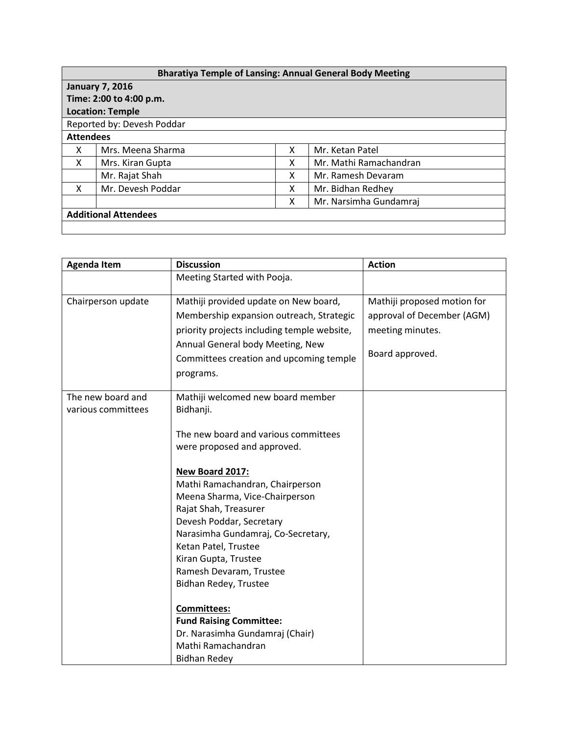| <b>Bharatiya Temple of Lansing: Annual General Body Meeting</b> |                            |   |                        |  |  |
|-----------------------------------------------------------------|----------------------------|---|------------------------|--|--|
|                                                                 | <b>January 7, 2016</b>     |   |                        |  |  |
|                                                                 | Time: 2:00 to 4:00 p.m.    |   |                        |  |  |
|                                                                 | <b>Location: Temple</b>    |   |                        |  |  |
|                                                                 | Reported by: Devesh Poddar |   |                        |  |  |
| <b>Attendees</b>                                                |                            |   |                        |  |  |
| X                                                               | Mrs. Meena Sharma          | x | Mr. Ketan Patel        |  |  |
| X                                                               | Mrs. Kiran Gupta           | x | Mr. Mathi Ramachandran |  |  |
|                                                                 | Mr. Rajat Shah             | X | Mr. Ramesh Devaram     |  |  |
| x                                                               | Mr. Devesh Poddar          | X | Mr. Bidhan Redhey      |  |  |
|                                                                 |                            | x | Mr. Narsimha Gundamraj |  |  |
| <b>Additional Attendees</b>                                     |                            |   |                        |  |  |
|                                                                 |                            |   |                        |  |  |

| <b>Agenda Item</b>                      | <b>Discussion</b>                                                                                                                                                                                                                                                                   | <b>Action</b>               |
|-----------------------------------------|-------------------------------------------------------------------------------------------------------------------------------------------------------------------------------------------------------------------------------------------------------------------------------------|-----------------------------|
|                                         | Meeting Started with Pooja.                                                                                                                                                                                                                                                         |                             |
| Chairperson update                      | Mathiji provided update on New board,                                                                                                                                                                                                                                               | Mathiji proposed motion for |
|                                         | Membership expansion outreach, Strategic                                                                                                                                                                                                                                            | approval of December (AGM)  |
|                                         | priority projects including temple website,                                                                                                                                                                                                                                         | meeting minutes.            |
|                                         | Annual General body Meeting, New                                                                                                                                                                                                                                                    |                             |
|                                         | Committees creation and upcoming temple                                                                                                                                                                                                                                             | Board approved.             |
|                                         | programs.                                                                                                                                                                                                                                                                           |                             |
| The new board and<br>various committees | Mathiji welcomed new board member<br>Bidhanji.                                                                                                                                                                                                                                      |                             |
|                                         | The new board and various committees                                                                                                                                                                                                                                                |                             |
|                                         | were proposed and approved.                                                                                                                                                                                                                                                         |                             |
|                                         | New Board 2017:<br>Mathi Ramachandran, Chairperson<br>Meena Sharma, Vice-Chairperson<br>Rajat Shah, Treasurer<br>Devesh Poddar, Secretary<br>Narasimha Gundamraj, Co-Secretary,<br>Ketan Patel, Trustee<br>Kiran Gupta, Trustee<br>Ramesh Devaram, Trustee<br>Bidhan Redey, Trustee |                             |
|                                         | <b>Committees:</b><br><b>Fund Raising Committee:</b><br>Dr. Narasimha Gundamraj (Chair)<br>Mathi Ramachandran<br><b>Bidhan Redey</b>                                                                                                                                                |                             |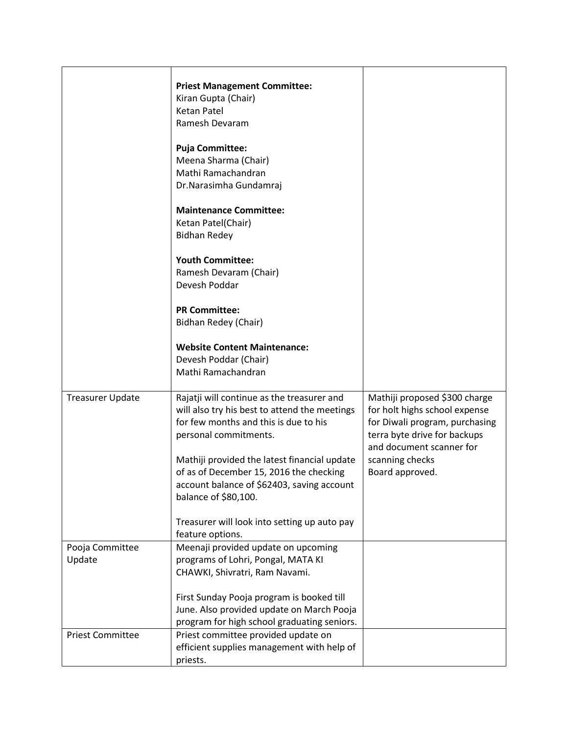|                           | <b>Priest Management Committee:</b><br>Kiran Gupta (Chair)<br><b>Ketan Patel</b><br>Ramesh Devaram<br><b>Puja Committee:</b>                                  |                                                                                                                                                              |
|---------------------------|---------------------------------------------------------------------------------------------------------------------------------------------------------------|--------------------------------------------------------------------------------------------------------------------------------------------------------------|
|                           | Meena Sharma (Chair)<br>Mathi Ramachandran<br>Dr.Narasimha Gundamraj                                                                                          |                                                                                                                                                              |
|                           | <b>Maintenance Committee:</b><br>Ketan Patel(Chair)<br><b>Bidhan Redey</b>                                                                                    |                                                                                                                                                              |
|                           | <b>Youth Committee:</b><br>Ramesh Devaram (Chair)<br>Devesh Poddar                                                                                            |                                                                                                                                                              |
|                           | <b>PR Committee:</b><br>Bidhan Redey (Chair)                                                                                                                  |                                                                                                                                                              |
|                           | <b>Website Content Maintenance:</b><br>Devesh Poddar (Chair)<br>Mathi Ramachandran                                                                            |                                                                                                                                                              |
| <b>Treasurer Update</b>   | Rajatji will continue as the treasurer and<br>will also try his best to attend the meetings<br>for few months and this is due to his<br>personal commitments. | Mathiji proposed \$300 charge<br>for holt highs school expense<br>for Diwali program, purchasing<br>terra byte drive for backups<br>and document scanner for |
|                           | Mathiji provided the latest financial update<br>of as of December 15, 2016 the checking<br>account balance of \$62403, saving account<br>balance of \$80,100. | scanning checks<br>Board approved.                                                                                                                           |
|                           | Treasurer will look into setting up auto pay<br>feature options.                                                                                              |                                                                                                                                                              |
| Pooja Committee<br>Update | Meenaji provided update on upcoming<br>programs of Lohri, Pongal, MATA KI<br>CHAWKI, Shivratri, Ram Navami.                                                   |                                                                                                                                                              |
|                           | First Sunday Pooja program is booked till<br>June. Also provided update on March Pooja<br>program for high school graduating seniors.                         |                                                                                                                                                              |
| <b>Priest Committee</b>   | Priest committee provided update on<br>efficient supplies management with help of<br>priests.                                                                 |                                                                                                                                                              |